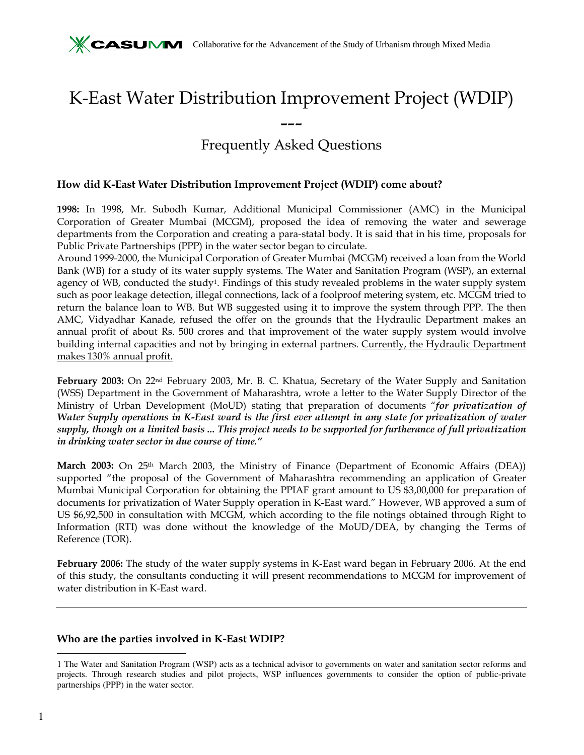# K-East Water Distribution Improvement Project (WDIP)

# --- Frequently Asked Questions

#### How did K-East Water Distribution Improvement Project (WDIP) come about?

1998: In 1998, Mr. Subodh Kumar, Additional Municipal Commissioner (AMC) in the Municipal Corporation of Greater Mumbai (MCGM), proposed the idea of removing the water and sewerage departments from the Corporation and creating a para-statal body. It is said that in his time, proposals for Public Private Partnerships (PPP) in the water sector began to circulate.

Around 1999-2000, the Municipal Corporation of Greater Mumbai (MCGM) received a loan from the World Bank (WB) for a study of its water supply systems. The Water and Sanitation Program (WSP), an external agency of WB, conducted the study<sup>1</sup>. Findings of this study revealed problems in the water supply system such as poor leakage detection, illegal connections, lack of a foolproof metering system, etc. MCGM tried to return the balance loan to WB. But WB suggested using it to improve the system through PPP. The then AMC, Vidyadhar Kanade, refused the offer on the grounds that the Hydraulic Department makes an annual profit of about Rs. 500 crores and that improvement of the water supply system would involve building internal capacities and not by bringing in external partners. Currently, the Hydraulic Department makes 130% annual profit.

February 2003: On 22nd February 2003, Mr. B. C. Khatua, Secretary of the Water Supply and Sanitation (WSS) Department in the Government of Maharashtra, wrote a letter to the Water Supply Director of the Ministry of Urban Development (MoUD) stating that preparation of documents "for privatization of Water Supply operations in K-East ward is the first ever attempt in any state for privatization of water supply, though on a limited basis ... This project needs to be supported for furtherance of full privatization in drinking water sector in due course of time."

March 2003: On 25<sup>th</sup> March 2003, the Ministry of Finance (Department of Economic Affairs (DEA)) supported "the proposal of the Government of Maharashtra recommending an application of Greater Mumbai Municipal Corporation for obtaining the PPIAF grant amount to US \$3,00,000 for preparation of documents for privatization of Water Supply operation in K-East ward." However, WB approved a sum of US \$6,92,500 in consultation with MCGM, which according to the file notings obtained through Right to Information (RTI) was done without the knowledge of the MoUD/DEA, by changing the Terms of Reference (TOR).

February 2006: The study of the water supply systems in K-East ward began in February 2006. At the end of this study, the consultants conducting it will present recommendations to MCGM for improvement of water distribution in K-East ward.

#### Who are the parties involved in K-East WDIP?

-

<sup>1</sup> The Water and Sanitation Program (WSP) acts as a technical advisor to governments on water and sanitation sector reforms and projects. Through research studies and pilot projects, WSP influences governments to consider the option of public-private partnerships (PPP) in the water sector.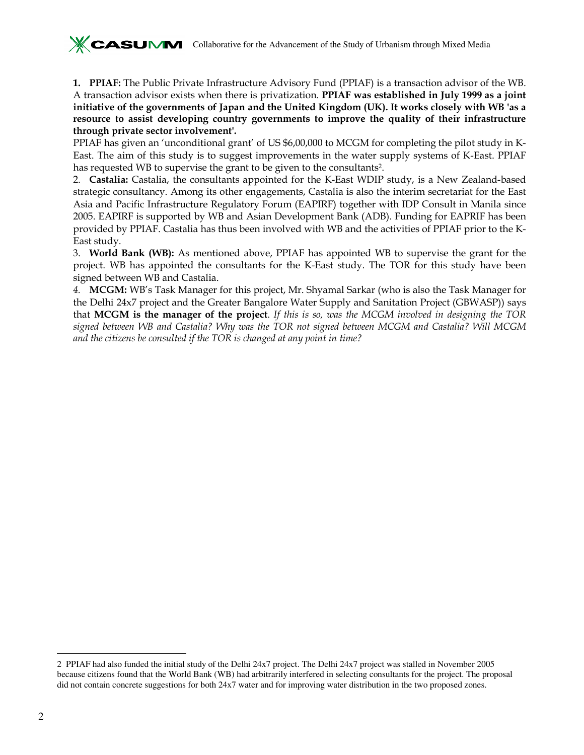

1. PPIAF: The Public Private Infrastructure Advisory Fund (PPIAF) is a transaction advisor of the WB. A transaction advisor exists when there is privatization. PPIAF was established in July 1999 as a joint initiative of the governments of Japan and the United Kingdom (UK). It works closely with WB 'as a resource to assist developing country governments to improve the quality of their infrastructure through private sector involvement'.

PPIAF has given an 'unconditional grant' of US \$6,00,000 to MCGM for completing the pilot study in K-East. The aim of this study is to suggest improvements in the water supply systems of K-East. PPIAF has requested WB to supervise the grant to be given to the consultants2.

2. Castalia: Castalia, the consultants appointed for the K-East WDIP study, is a New Zealand-based strategic consultancy. Among its other engagements, Castalia is also the interim secretariat for the East Asia and Pacific Infrastructure Regulatory Forum (EAPIRF) together with IDP Consult in Manila since 2005. EAPIRF is supported by WB and Asian Development Bank (ADB). Funding for EAPRIF has been provided by PPIAF. Castalia has thus been involved with WB and the activities of PPIAF prior to the K-East study.

3. World Bank (WB): As mentioned above, PPIAF has appointed WB to supervise the grant for the project. WB has appointed the consultants for the K-East study. The TOR for this study have been signed between WB and Castalia.

4. MCGM: WB's Task Manager for this project, Mr. Shyamal Sarkar (who is also the Task Manager for the Delhi 24x7 project and the Greater Bangalore Water Supply and Sanitation Project (GBWASP)) says that MCGM is the manager of the project. If this is so, was the MCGM involved in designing the TOR signed between WB and Castalia? Why was the TOR not signed between MCGM and Castalia? Will MCGM and the citizens be consulted if the TOR is changed at any point in time?

-

<sup>2</sup> PPIAF had also funded the initial study of the Delhi 24x7 project. The Delhi 24x7 project was stalled in November 2005 because citizens found that the World Bank (WB) had arbitrarily interfered in selecting consultants for the project. The proposal did not contain concrete suggestions for both 24x7 water and for improving water distribution in the two proposed zones.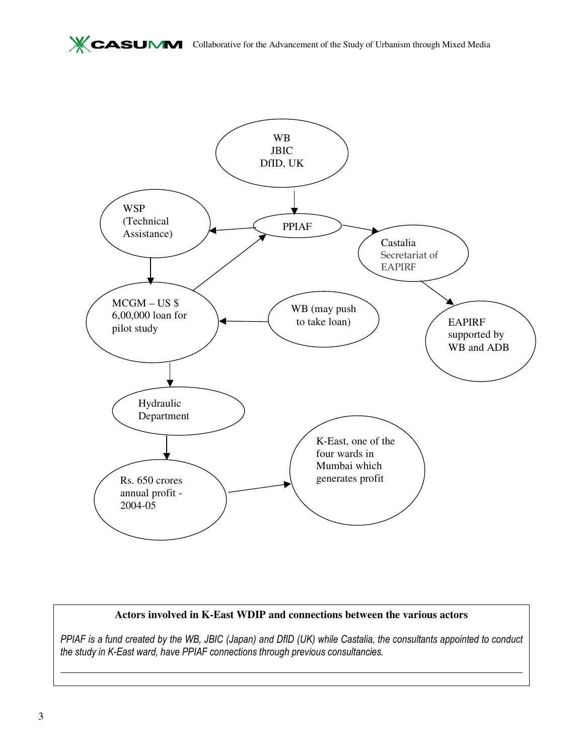

## **Actors involved in K-East WDIP and connections between the various actors**

PPIAF is a fund created by the WB, JBIC (Japan) and DfID (UK) while Castalia, the consultants appointed to conduct the study in K-East ward, have PPIAF connections through previous consultancies.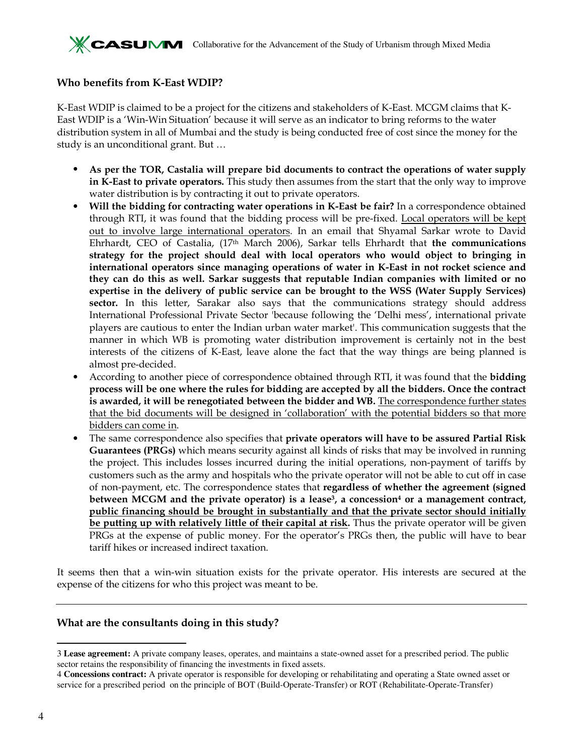## Who benefits from K-East WDIP?

K-East WDIP is claimed to be a project for the citizens and stakeholders of K-East. MCGM claims that K-East WDIP is a 'Win-Win Situation' because it will serve as an indicator to bring reforms to the water distribution system in all of Mumbai and the study is being conducted free of cost since the money for the study is an unconditional grant. But …

- As per the TOR, Castalia will prepare bid documents to contract the operations of water supply in K-East to private operators. This study then assumes from the start that the only way to improve water distribution is by contracting it out to private operators.
- Will the bidding for contracting water operations in K-East be fair? In a correspondence obtained through RTI, it was found that the bidding process will be pre-fixed. Local operators will be kept out to involve large international operators. In an email that Shyamal Sarkar wrote to David Ehrhardt, CEO of Castalia,  $(17<sup>th</sup>$  March 2006), Sarkar tells Ehrhardt that the communications strategy for the project should deal with local operators who would object to bringing in international operators since managing operations of water in K-East in not rocket science and they can do this as well. Sarkar suggests that reputable Indian companies with limited or no expertise in the delivery of public service can be brought to the WSS (Water Supply Services) sector. In this letter, Sarakar also says that the communications strategy should address International Professional Private Sector 'because following the 'Delhi mess', international private players are cautious to enter the Indian urban water market'. This communication suggests that the manner in which WB is promoting water distribution improvement is certainly not in the best interests of the citizens of K-East, leave alone the fact that the way things are being planned is almost pre-decided.
- According to another piece of correspondence obtained through RTI, it was found that the **bidding** process will be one where the rules for bidding are accepted by all the bidders. Once the contract is awarded, it will be renegotiated between the bidder and WB. The correspondence further states that the bid documents will be designed in 'collaboration' with the potential bidders so that more bidders can come in.
- The same correspondence also specifies that private operators will have to be assured Partial Risk Guarantees (PRGs) which means security against all kinds of risks that may be involved in running the project. This includes losses incurred during the initial operations, non-payment of tariffs by customers such as the army and hospitals who the private operator will not be able to cut off in case of non-payment, etc. The correspondence states that regardless of whether the agreement (signed between MCGM and the private operator) is a lease<sup>3</sup>, a concession<sup>4</sup> or a management contract, public financing should be brought in substantially and that the private sector should initially be putting up with relatively little of their capital at risk. Thus the private operator will be given PRGs at the expense of public money. For the operator's PRGs then, the public will have to bear tariff hikes or increased indirect taxation.

It seems then that a win-win situation exists for the private operator. His interests are secured at the expense of the citizens for who this project was meant to be.

## What are the consultants doing in this study?

<sup>-</sup>3 **Lease agreement:** A private company leases, operates, and maintains a state-owned asset for a prescribed period. The public sector retains the responsibility of financing the investments in fixed assets.

<sup>4</sup> **Concessions contract:** A private operator is responsible for developing or rehabilitating and operating a State owned asset or service for a prescribed period on the principle of BOT (Build-Operate-Transfer) or ROT (Rehabilitate-Operate-Transfer)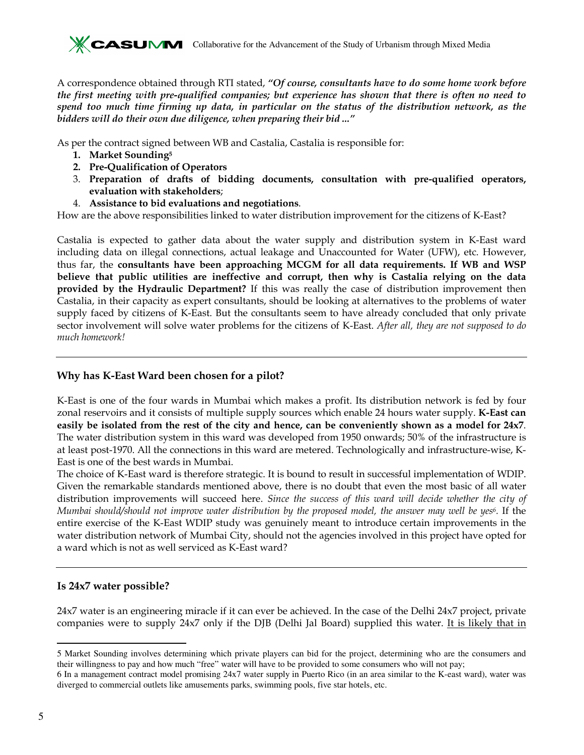A correspondence obtained through RTI stated, "Of course, consultants have to do some home work before the first meeting with pre-qualified companies; but experience has shown that there is often no need to spend too much time firming up data, in particular on the status of the distribution network, as the bidders will do their own due diligence, when preparing their bid ..."

As per the contract signed between WB and Castalia, Castalia is responsible for:

- 1. Market Sounding<sup>5</sup>
- 2. Pre-Qualification of Operators
- 3. Preparation of drafts of bidding documents, consultation with pre-qualified operators, evaluation with stakeholders;
- 4. Assistance to bid evaluations and negotiations.

How are the above responsibilities linked to water distribution improvement for the citizens of K-East?

Castalia is expected to gather data about the water supply and distribution system in K-East ward including data on illegal connections, actual leakage and Unaccounted for Water (UFW), etc. However, thus far, the consultants have been approaching MCGM for all data requirements. If WB and WSP believe that public utilities are ineffective and corrupt, then why is Castalia relying on the data provided by the Hydraulic Department? If this was really the case of distribution improvement then Castalia, in their capacity as expert consultants, should be looking at alternatives to the problems of water supply faced by citizens of K-East. But the consultants seem to have already concluded that only private sector involvement will solve water problems for the citizens of K-East. After all, they are not supposed to do much homework!

## Why has K-East Ward been chosen for a pilot?

K-East is one of the four wards in Mumbai which makes a profit. Its distribution network is fed by four zonal reservoirs and it consists of multiple supply sources which enable 24 hours water supply. K-East can easily be isolated from the rest of the city and hence, can be conveniently shown as a model for 24x7. The water distribution system in this ward was developed from 1950 onwards; 50% of the infrastructure is at least post-1970. All the connections in this ward are metered. Technologically and infrastructure-wise, K-East is one of the best wards in Mumbai.

The choice of K-East ward is therefore strategic. It is bound to result in successful implementation of WDIP. Given the remarkable standards mentioned above, there is no doubt that even the most basic of all water distribution improvements will succeed here. Since the success of this ward will decide whether the city of Mumbai should/should not improve water distribution by the proposed model, the answer may well be yes6. If the entire exercise of the K-East WDIP study was genuinely meant to introduce certain improvements in the water distribution network of Mumbai City, should not the agencies involved in this project have opted for a ward which is not as well serviced as K-East ward?

## Is 24x7 water possible?

24x7 water is an engineering miracle if it can ever be achieved. In the case of the Delhi 24x7 project, private companies were to supply 24x7 only if the DJB (Delhi Jal Board) supplied this water. It is likely that in

<sup>-</sup>5 Market Sounding involves determining which private players can bid for the project, determining who are the consumers and their willingness to pay and how much "free" water will have to be provided to some consumers who will not pay;

<sup>6</sup> In a management contract model promising 24x7 water supply in Puerto Rico (in an area similar to the K-east ward), water was diverged to commercial outlets like amusements parks, swimming pools, five star hotels, etc.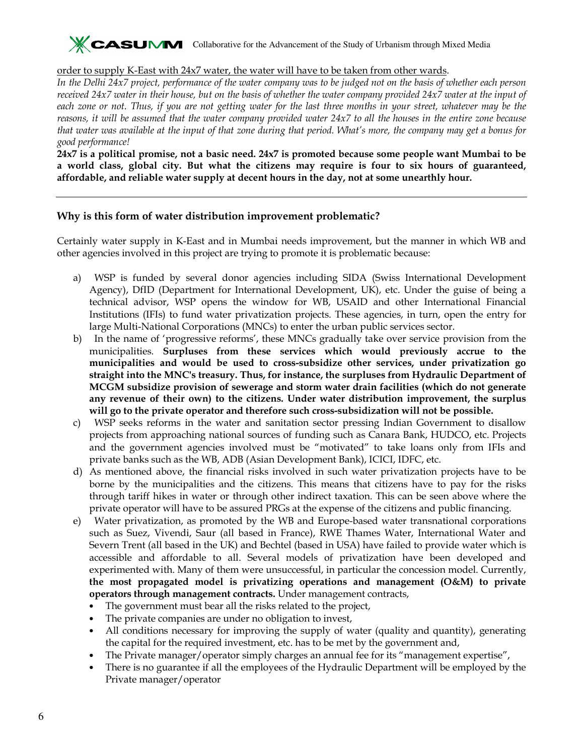

#### order to supply K-East with 24x7 water, the water will have to be taken from other wards.

In the Delhi 24x7 project, performance of the water company was to be judged not on the basis of whether each person received 24x7 water in their house, but on the basis of whether the water company provided 24x7 water at the input of each zone or not. Thus, if you are not getting water for the last three months in your street, whatever may be the reasons, it will be assumed that the water company provided water 24x7 to all the houses in the entire zone because that water was available at the input of that zone during that period. What's more, the company may get a bonus for good performance!

24x7 is a political promise, not a basic need. 24x7 is promoted because some people want Mumbai to be a world class, global city. But what the citizens may require is four to six hours of guaranteed, affordable, and reliable water supply at decent hours in the day, not at some unearthly hour.

#### Why is this form of water distribution improvement problematic?

Certainly water supply in K-East and in Mumbai needs improvement, but the manner in which WB and other agencies involved in this project are trying to promote it is problematic because:

- a) WSP is funded by several donor agencies including SIDA (Swiss International Development Agency), DfID (Department for International Development, UK), etc. Under the guise of being a technical advisor, WSP opens the window for WB, USAID and other International Financial Institutions (IFIs) to fund water privatization projects. These agencies, in turn, open the entry for large Multi-National Corporations (MNCs) to enter the urban public services sector.
- b) In the name of 'progressive reforms', these MNCs gradually take over service provision from the municipalities. Surpluses from these services which would previously accrue to the municipalities and would be used to cross-subsidize other services, under privatization go straight into the MNC's treasury. Thus, for instance, the surpluses from Hydraulic Department of MCGM subsidize provision of sewerage and storm water drain facilities (which do not generate any revenue of their own) to the citizens. Under water distribution improvement, the surplus will go to the private operator and therefore such cross-subsidization will not be possible.
- c) WSP seeks reforms in the water and sanitation sector pressing Indian Government to disallow projects from approaching national sources of funding such as Canara Bank, HUDCO, etc. Projects and the government agencies involved must be "motivated" to take loans only from IFIs and private banks such as the WB, ADB (Asian Development Bank), ICICI, IDFC, etc.
- d) As mentioned above, the financial risks involved in such water privatization projects have to be borne by the municipalities and the citizens. This means that citizens have to pay for the risks through tariff hikes in water or through other indirect taxation. This can be seen above where the private operator will have to be assured PRGs at the expense of the citizens and public financing.
- e) Water privatization, as promoted by the WB and Europe-based water transnational corporations such as Suez, Vivendi, Saur (all based in France), RWE Thames Water, International Water and Severn Trent (all based in the UK) and Bechtel (based in USA) have failed to provide water which is accessible and affordable to all. Several models of privatization have been developed and experimented with. Many of them were unsuccessful, in particular the concession model. Currently, the most propagated model is privatizing operations and management (O&M) to private operators through management contracts. Under management contracts,
	- The government must bear all the risks related to the project,
	- The private companies are under no obligation to invest,
	- All conditions necessary for improving the supply of water (quality and quantity), generating the capital for the required investment, etc. has to be met by the government and,
	- The Private manager/operator simply charges an annual fee for its "management expertise",
	- There is no guarantee if all the employees of the Hydraulic Department will be employed by the Private manager/operator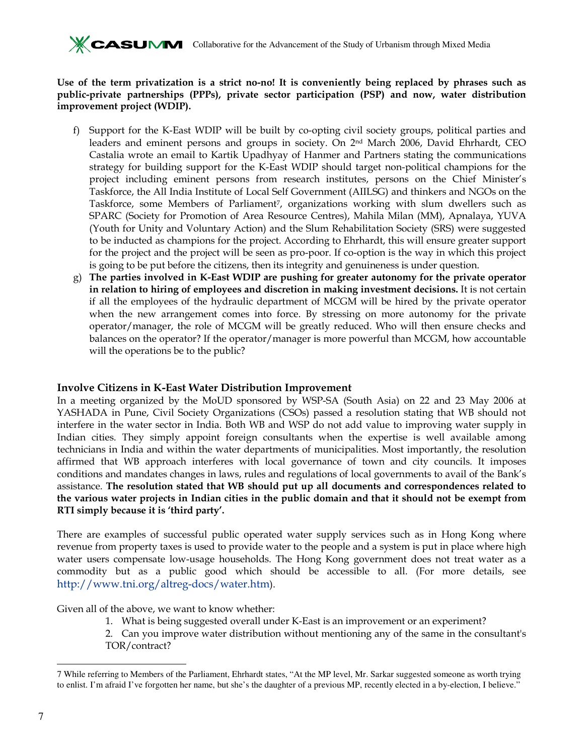Use of the term privatization is a strict no-no! It is conveniently being replaced by phrases such as public-private partnerships (PPPs), private sector participation (PSP) and now, water distribution improvement project (WDIP).

- f) Support for the K-East WDIP will be built by co-opting civil society groups, political parties and leaders and eminent persons and groups in society. On 2nd March 2006, David Ehrhardt, CEO Castalia wrote an email to Kartik Upadhyay of Hanmer and Partners stating the communications strategy for building support for the K-East WDIP should target non-political champions for the project including eminent persons from research institutes, persons on the Chief Minister's Taskforce, the All India Institute of Local Self Government (AIILSG) and thinkers and NGOs on the Taskforce, some Members of Parliament<sup>7</sup>, organizations working with slum dwellers such as SPARC (Society for Promotion of Area Resource Centres), Mahila Milan (MM), Apnalaya, YUVA (Youth for Unity and Voluntary Action) and the Slum Rehabilitation Society (SRS) were suggested to be inducted as champions for the project. According to Ehrhardt, this will ensure greater support for the project and the project will be seen as pro-poor. If co-option is the way in which this project is going to be put before the citizens, then its integrity and genuineness is under question.
- g) The parties involved in K-East WDIP are pushing for greater autonomy for the private operator in relation to hiring of employees and discretion in making investment decisions. It is not certain if all the employees of the hydraulic department of MCGM will be hired by the private operator when the new arrangement comes into force. By stressing on more autonomy for the private operator/manager, the role of MCGM will be greatly reduced. Who will then ensure checks and balances on the operator? If the operator/manager is more powerful than MCGM, how accountable will the operations be to the public?

## Involve Citizens in K-East Water Distribution Improvement

In a meeting organized by the MoUD sponsored by WSP-SA (South Asia) on 22 and 23 May 2006 at YASHADA in Pune, Civil Society Organizations (CSOs) passed a resolution stating that WB should not interfere in the water sector in India. Both WB and WSP do not add value to improving water supply in Indian cities. They simply appoint foreign consultants when the expertise is well available among technicians in India and within the water departments of municipalities. Most importantly, the resolution affirmed that WB approach interferes with local governance of town and city councils. It imposes conditions and mandates changes in laws, rules and regulations of local governments to avail of the Bank's assistance. The resolution stated that WB should put up all documents and correspondences related to the various water projects in Indian cities in the public domain and that it should not be exempt from RTI simply because it is 'third party'.

There are examples of successful public operated water supply services such as in Hong Kong where revenue from property taxes is used to provide water to the people and a system is put in place where high water users compensate low-usage households. The Hong Kong government does not treat water as a commodity but as a public good which should be accessible to all. (For more details, see http://www.tni.org/altreg-docs/water.htm).

Given all of the above, we want to know whether:

- 1. What is being suggested overall under K-East is an improvement or an experiment?
- 2. Can you improve water distribution without mentioning any of the same in the consultant's TOR/contract?

<sup>-</sup>7 While referring to Members of the Parliament, Ehrhardt states, "At the MP level, Mr. Sarkar suggested someone as worth trying to enlist. I'm afraid I've forgotten her name, but she's the daughter of a previous MP, recently elected in a by-election, I believe."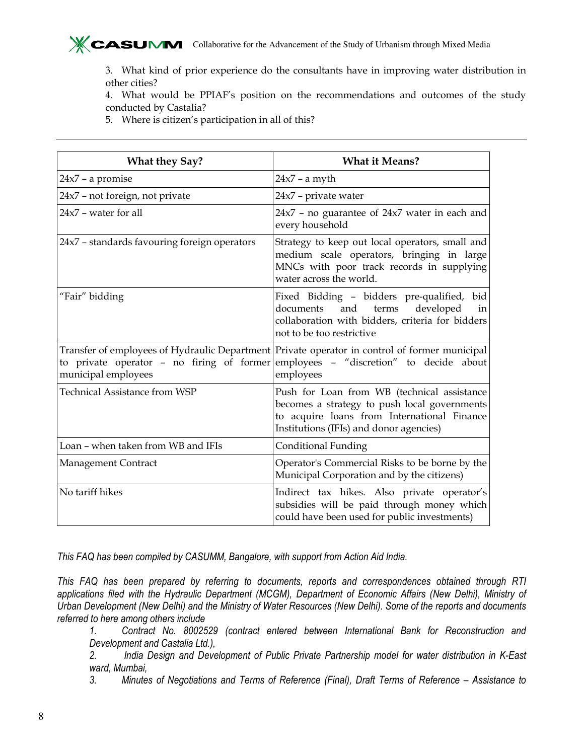

3. What kind of prior experience do the consultants have in improving water distribution in other cities?

4. What would be PPIAF's position on the recommendations and outcomes of the study conducted by Castalia?

5. Where is citizen's participation in all of this?

| <b>What they Say?</b>                        | <b>What it Means?</b>                                                                                                                                                                            |
|----------------------------------------------|--------------------------------------------------------------------------------------------------------------------------------------------------------------------------------------------------|
| $24x7 - a$ promise                           | $24x7$ – a myth                                                                                                                                                                                  |
| 24x7 - not foreign, not private              | $24x7$ – private water                                                                                                                                                                           |
| 24x7 - water for all                         | $24x7$ - no guarantee of $24x7$ water in each and<br>every household                                                                                                                             |
| 24x7 - standards favouring foreign operators | Strategy to keep out local operators, small and<br>medium scale operators, bringing in large<br>MNCs with poor track records in supplying<br>water across the world.                             |
| "Fair" bidding                               | Fixed Bidding - bidders pre-qualified, bid<br>terms<br>and<br>developed<br>documents<br>in<br>collaboration with bidders, criteria for bidders<br>not to be too restrictive                      |
| municipal employees                          | Transfer of employees of Hydraulic Department Private operator in control of former municipal<br>to private operator - no firing of former employees - "discretion" to decide about<br>employees |
| <b>Technical Assistance from WSP</b>         | Push for Loan from WB (technical assistance<br>becomes a strategy to push local governments<br>to acquire loans from International Finance<br>Institutions (IFIs) and donor agencies)            |
| Loan - when taken from WB and IFIs           | <b>Conditional Funding</b>                                                                                                                                                                       |
| Management Contract                          | Operator's Commercial Risks to be borne by the<br>Municipal Corporation and by the citizens)                                                                                                     |
| No tariff hikes                              | Indirect tax hikes. Also private operator's<br>subsidies will be paid through money which<br>could have been used for public investments)                                                        |

This FAQ has been compiled by CASUMM, Bangalore, with support from Action Aid India.

This FAQ has been prepared by referring to documents, reports and correspondences obtained through RTI applications filed with the Hydraulic Department (MCGM), Department of Economic Affairs (New Delhi), Ministry of Urban Development (New Delhi) and the Ministry of Water Resources (New Delhi). Some of the reports and documents referred to here among others include

1. Contract No. 8002529 (contract entered between International Bank for Reconstruction and Development and Castalia Ltd.),

2. India Design and Development of Public Private Partnership model for water distribution in K-East ward, Mumbai,

3. Minutes of Negotiations and Terms of Reference (Final), Draft Terms of Reference – Assistance to